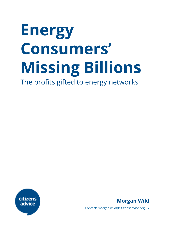# **Energy Consumers' Missing Billions**

The profits gifted to energy networks



**Morgan Wild**

Contact: morgan.wild@citizensadvice.org.uk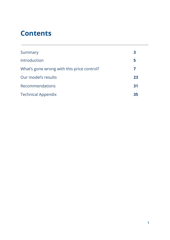# **Contents**

| Summary                                    | 3  |
|--------------------------------------------|----|
| Introduction                               | 5  |
| What's gone wrong with this price control? | 7  |
| Our model's results                        | 23 |
| <b>Recommendations</b>                     | 31 |
| <b>Technical Appendix</b>                  | 35 |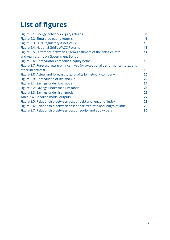# **List of figures**

| Figure 2.1: Energy networks' equity returns                                      | 8  |
|----------------------------------------------------------------------------------|----|
| Figure 2.2: Simulated equity returns                                             | 9  |
| Figure 2.3: SGN Regulatory Asset Value                                           | 10 |
| Figure 2.4: National Grid's WACC Returns                                         | 11 |
| Figure 2.5: Difference between Ofgem's estimate of the risk-free rate            | 14 |
| and real returns on Government Bonds                                             |    |
| Figure 2.6: Comparator companies' equity betas                                   | 16 |
| Figure 2.7: Forecast return on incentives for exceptional performance (totex and |    |
| other incentives)                                                                | 18 |
| Figure 2.8: Actual and forecast totex profits by network company                 | 20 |
| Figure 2.9: Comparison of RPI and CPI                                            | 22 |
| Figure 3.1: Savings under low model                                              | 24 |
| Figure 3.2: Savings under medium model                                           | 25 |
| Figure 3.3: Savings under high model                                             | 26 |
| Table 3.4: Headline model outputs                                                | 27 |
| Figure 3.5: Relationship between cost of debt and length of index                | 28 |
| Figure 3.6: Relationship between cost of risk-free rate and length of index      | 29 |
| Figure 3.7: Relationship between cost of equity and equity beta                  | 30 |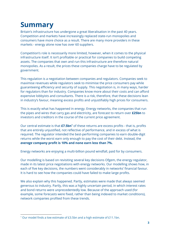# **Summary**

Britain's infrastructure has undergone a great liberalisation in the past 40 years. Competition and markets have increasingly replaced state-run monopolies and consumers have more choice as a result. There are many more providers in these markets - energy alone now has over 60 suppliers.

Competition's role is necessarily more limited, however, when it comes to the physical infrastructure itself. It isn't profitable or practical for companies to build competing assets. The companies that own and run this infrastructure are therefore natural monopolies. As a result, the prices these companies charge have to be regulated by government.

This regulation is a negotiation between companies and regulators. Companies seek to maximise revenues while regulators seek to minimise the price consumers pay while guaranteeing efficiency and security of supply. This negotiation is, in many ways, harder for regulators than for industry. Companies know more about their costs and can afford expensive lobbyists and consultants. There is a risk, therefore, that these decisions lean in industry's favour, meaning excess profits and unjustifiably high prices for consumers.

This is exactly what has happened in energy. Energy networks, the companies that run the pipes and wires that carry gas and electricity, are forecast to return over **£25bn** to investors and creditors in the course of the current price agreement.

Our central estimate is that **£7.5bn<sup>1</sup>** of these returns are excess profits - that is, profits that are entirely unjustified, not reflective of performance, and in excess of what is required. The regulator intended the best-performing companies to earn double-digit returns while the worst earn only enough to pay the cost of their debt. Instead, the *average* **company profit is 10% and none earn less than 7%.**

Energy networks are enjoying a multi-billion pound windfall, paid for by consumers.

Our modelling is based on revisiting several key decisions Ofgem, the energy regulator, made in its latest price negotiations with energy networks. Our modelling shows how, in each of five key decisions, the numbers went considerably in networks' financial favour. It is hard to see how the companies could have failed to make large profits.

We also explain why this happened. Partly, estimates were made that always seemed generous to industry. Partly, this was a highly uncertain period, in which interest rates and bond returns were unprecedentedly low. Because of the approach used (for example, some forecasts were fixed, rather than being indexed to market conditions), network companies profited from these trends.

<sup>&</sup>lt;sup>1</sup> Our model finds a low estimate of £3.5bn and a high estimate of £11.1bn.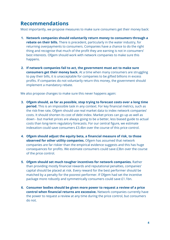# **Recommendations**

Most importantly, we propose measures to make sure consumers get their money back:

- **1. Network companies should voluntarily return money to consumers through a rebate on their bills.** There is precedent, particularly in the water industry, for returning overpayments to consumers. Companies have a chance to do the right thing and recognise that much of the profit they are earning is not in consumers' best interests. Ofgem should work with network companies to make sure this happens.
- **2. If network companies fail to act, the government must act to make sure consumers get their money back.** At a time when many consumers are struggling to pay their bills, it is unacceptable for companies to be gifted billions in excess profits. If companies do not voluntarily return this money, the government should implement a mandatory rebate.

We also propose changes to make sure this never happens again:

- **3. Ofgem should, as far as possible, stop trying to forecast costs over a long time period.** This is an impossible task in any context. For key financial metrics, such as the risk-free rate, Ofgem should use real market data to index network companies' costs. It should shorten its cost of debt index. Market prices can go up as well as down - but market prices are always going to be a better, less biased guide to actual costs than long-term regulatory forecasts. For our central figure, we estimate indexation could save consumers £3.4bn over the course of this price control.
- **4. Ofgem should adjust the equity beta, a financial measure of risk, to those observed for other utility companies.** Ofgem has assumed that network companies are far riskier than the empirical evidence suggests and this has huge consequences for profits. We estimate consumers could save £3bn over the course of the price control.
- **5. Ofgem should set much tougher incentives for network companies.** Rather than providing mostly financial rewards and reputational penalties, companies' capital should be placed at risk. Every reward for the best performer should be matched by a penalty for the poorest performer. If Ofgem had set the incentive package more robustly and symmetrically consumers could save £1.1bn.
- **6. Consumer bodies should be given more power to request a review of a price control when financial returns are excessive.** Network companies currently have the power to request a review at any time during the price control, but consumers do not.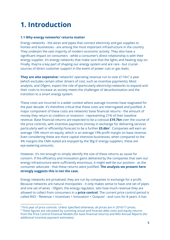# **1. Introduction**

# **1.1 Why energy networks' returns matter**

Energy networks - the wires and pipes that connect electricity and gas supplies to homes and businesses - are among the most important infrastructure in the country. They underpin the vast majority of modern economic activity. They also have a significant impact on consumers - while a consumer's direct relationship is with their energy supplier, it's energy networks that make sure that the lights and heating stay on. Finally, they're a key part of shaping our energy system and are rare - but crucial sources of direct customer support in the event of power cuts or gas leaks.

**They are also expensive:** networks' operating revenue run to over £11bn<sup>2</sup> a year (which excludes certain other drivers of cost, such as incentive payments). Most analysts, and Ofgem, expect the role of (particularly electricity) networks to expand and their costs to increase as society meets the challenges of decarbonisation and the transition to a smart energy system.

These costs are incurred in a wider context where average incomes have stagnated for the past decade. It's therefore critical that these costs are interrogated and justified. A major component of these costs are networks' base financial returns - the amount of money they return to creditors or investors - representing 21% of their baseline revenue. Base financial returns are expected to be a colossal **£19.7bn** over the course of the price controls, with incentive payments (money in exchange for delivering services particularly well or efficiently) forecast to be a further **£5.6bn**<sup>3</sup>. Companies will earn an average 10% return on equity, which is an average 19% profit margin on base revenue. Even considering these are more capital intensive businesses, when compared to the 4% margins the CMA stated are enjoyed by the 'Big 6' energy suppliers, these are eye-watering amounts.

However, it's not enough to simply identify the size of these returns as cause for concern. If the efficiency and innovation gains delivered by the companies that own our energy infrastructure were sufficiently enormous, it might well be our position - as the consumer advocate - that these returns were justified. **The analysis we present here strongly suggests this is not the case.**

Energy networks are privatised: they are run by companies in exchange for a profit. Because networks are natural monopolies - it only makes sense to have one set of pipes and one set of wires - Ofgem, the energy regulator, sets how much revenue they are allowed to collect from consumers in a **price control.** The current price control period is called RIIO - 'Revenue = Incentives + Innovation + Outputs' - and runs for 8 years. It has

<sup>&</sup>lt;sup>2</sup> First year of price controls. Unless specified otherwise, all prices are in 2016/17 prices.

<sup>&</sup>lt;sup>3</sup> These figures are calculated by summing actual and forecast debt costs and equity returns from the Price Control Financial Models (for base financial returns) and RIIO Annual Reports (for additional incentive payment estimates).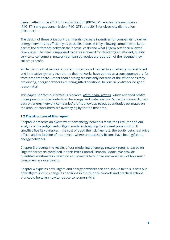been in effect since 2013 for gas distribution (RIIO-GD1), electricity transmission (RIIO-ET1) and gas transmission (RIIO-GT1), and 2015 for electricity distribution (RIIO-ED1).

The design of these price controls intends to create incentives for companies to deliver energy networks as efficiently as possible. It does this by allowing companies to keep part of the difference between their actual costs and what Ofgem sets their allowed revenue as. The deal is supposed to be: as a reward for delivering an efficient, quality service to consumers, network companies receive a proportion of the revenue they collect as profit.

While it is true that networks' current price control has led to a markedly more efficient and innovative system, the returns that networks have earned as a consequence are far from proportionate. Rather than earning returns only because of the efficiencies they are driving, energy networks are being gifted additional billions in profits for no good reason at all.

This paper updates our previous research, *Many happy [returns,](https://www.citizensadvice.org.uk/cymraeg/about-us/policy/policy-research-topics/consumer-policy-research/consumer-policy-research/many-happy-returns/)* which analysed profits under previous price controls in the energy and water sectors. Since that research, new data on energy network companies' profits allows us to put quantitative estimates on the amount consumers are overpaying by for the first time.

# **1.2 The structure of this report**

Chapter 2 presents an overview of how energy networks make their returns and our analysis of the judgements Ofgem made in designing the current price control. It specifies five key variables - the cost of debt, the risk-free rate, the equity beta, real price effects and calibration of incentives - where unnecessary billions have been gifted to energy networks.

Chapter 3 presents the results of our modelling of energy network returns, based on Ofgem's forecasts contained in their Price Control Financial Model. We provide quantitative estimates - based on adjustments to our five key variables - of how much consumers are overpaying.

Chapter 4 explains how Ofgem and energy networks can and should fix this. It sets out how Ofgem should change its decisions in future price controls and practical actions that could be taken now to reduce consumers' bills.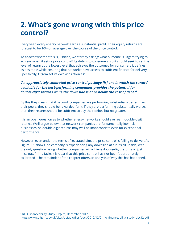# **2. What's gone wrong with this price control?**

Every year, every energy network earns a substantial profit. Their equity returns are forecast to be 10% on average over the course of the price control.

To answer whether this is justified, we start by asking: what outcome is Ofgem trying to achieve when it sets a price control? Its duty is to consumers, so it should seek to set the level of return at the lowest level that achieves the outcomes for consumers it defines as desirable while ensuring that networks' have access to sufficient finance for delivery. Specifically, Ofgem set its own aspiration as:

# *'An appropriately calibrated price control package [is] one in which the reward available for the best-performing companies provides the potential for double-digit returns while the downside is at or below the cost of debt.'<sup>4</sup>*

By this they mean that if network companies are performing substantially better than their peers, they should be rewarded for it; if they are performing substantially worse, then their returns should be sufficient to pay their debts, but no greater.

It is an open question as to whether energy networks should ever earn double-digit returns. We'll argue below that network companies are fundamentally low-risk businesses, so double digit returns may well be inappropriate even for exceptional performance.

However, even under the terms of its stated aim, the price control is failing to deliver. As Figure 2.1 shows, no company is experiencing any downside at all: it's all upside, with the only question being whether companies will achieve double-digit returns or just miss out. Prima facie, it is clear that this price control has not been 'appropriately calibrated'. The remainder of the chapter offers an analysis of why this has happened.

<sup>4</sup> RIIO Financeability Study, Ofgem, December 2012

https://www.ofgem.gov.uk/sites/default/files/docs/2012/12/9\_riio\_financeability\_study\_dec12.pdf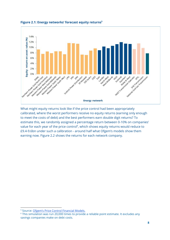

**Figure 2.1: Energy networks' forecast equity returns 5**

What might equity returns look like if the price control had been appropriately calibrated, where the worst performers receive no equity returns (earning only enough to meet the costs of debt) and the best performers earn double digit returns? To estimate this, we randomly assigned a percentage return between 0-10% on companies' value for each year of the price control $6$ , which shows equity returns would reduce to £9.4-9.6bn under such a calibration - around half what Ofgem's models show them earning now. Figure 2.2 shows the returns for each network company.

<sup>5</sup> Source: Ofgem's Price Control [Financial](https://www.ofgem.gov.uk/network-regulation-riio-model/price-controls-financial-model-pcfm) Models.

<sup>&</sup>lt;sup>6</sup> This simulation was run 20,000 times to provide a reliable point estimate. It excludes any savings companies make on debt costs.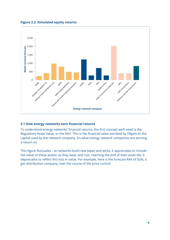

**Figure 2.2: Simulated equity returns**

# **2.1 How energy networks earn financial returns**

To understand energy networks' financial returns, the first concept we'll need is the Regulatory Asset Value, or the RAV. This is the financial value ascribed by Ofgem to the capital used by the network company. It's what energy network companies are earning a return *on.*

This figure fluctuates - as networks build new pipes and wires, it appreciates to include the value of these assets; as they wear and rust, reaching the end of their asset life, it depreciates to reflect this loss in value. For example, here is the forecast RAV of SGN, a gas distribution company, over the course of the price control: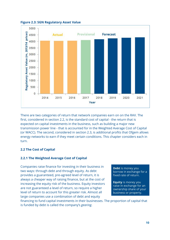

#### **Figure 2.3: SGN Regulatory Asset Value**

There are two categories of return that network companies earn on on the RAV. The first, considered in section 2.2, is the standard cost of capital - the return that is expected on capital investments in the business, such as building a major new transmission power line - that is accounted for in the Weighted Average Cost of Capital (or WACC). The second, considered in section 2.3, is additional profits that Ofgem allows energy networks to earn if they meet certain conditions. This chapter considers each in turn.

# **2.2 The Cost of Capital**

# **2.2.1 The Weighted Average Cost of Capital**

Companies raise finance for investing in their business in two ways: through debt and through equity. As debt provides a guaranteed, pre-agreed level of return, it is always a cheaper way of raising finance, but at the cost of increasing the equity risk of the business. Equity investors are not guaranteed a level of return, so require a higher level of return to account for this greater risk. Almost all large companies use a combination of debt and equity

Debt is money you borrow in exchange for a fixed rate of return.

Equity is money you raise in exchange for an ownership share of your business or property.

financing to fund capital investments in their businesses. The proportion of capital that is funded by debt is called the company's *gearing*.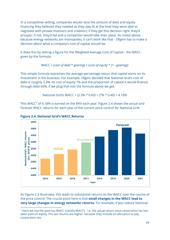In a competitive setting, companies would raise the amount of debt and equity financing they believed they needed as they saw fit at the level they were able to negotiate with private investors and creditors; if they get this decision right, they'd prosper; if not, they'd fail and a competitor would take their place. As noted above, because energy networks are monopolies, it can't work like that - Ofgem has to make a decision about what a company's cost of capital should be.

It does this by setting a figure for the Weighted Average Cost of Capital - the WACC given by the formula:

WACC = (*cost of debt* \* *gearing*) + (*cost of equity* \* (*1 - gearing))*

This simple formula expresses the average percentage return that capital earns on its investment in the business. For example, Ofgem decided that National Grid's cost of debt is roughly 2.3%, its cost of equity 7% and the proportion of capital it would finance through debt 60%. If we plug that into the formula above we get:

National Grid's WACC = (2.3% \* 0.60) + (7% \* 0.40) = 4.18%

This WACC<sup>7</sup> of 4.18% is earned on the RAV each year. Figure 2.4 shows the actual and forecast WACC returns for each year of the current price control for National Grid:



**Figure 2.4: National Grid's WACC Returns**

As Figure 2.3 illustrates, this leads to substantial returns on the WACC over the course of the price control. The crucial point here is that **small changes in the WACC lead to very large changes in energy networks' returns.** For example, if you reduce National

 $7$  Here we use the post-tax WACC ('vanilla WACC') - i.e. the actual return once corporation tax has been paid on equity. Pre-tax returns are higher, because they include an allocation to pay corporation tax.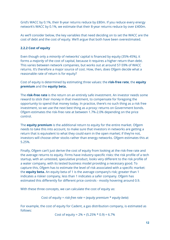Grid's WACC by 0.1%, their 8-year returns reduce by £80m. If you reduce every energy network's WACC by 0.1%, we estimate that their 8-year returns reduce by over £400m.

As we'll consider below, the key variables that need deciding on to set the WACC are the cost of debt and the cost of equity. We'll argue that both have been overestimated.

# **2.2.2 Cost of equity**

Even though only a *minority* of networks' capital is financed by equity (35%-45%), it forms a *majority* of the cost of capital, because it requires a higher return than debt. This varies between network companies, but works out at around 57-59% of WACC returns. It's therefore a major source of cost. How, then, does Ofgem decide what a reasonable rate of return is for equity?

Cost of equity is determined by estimating three values: the **risk-free rate**, the **equity premium** and the **equity beta.**

The **risk-free rate** is the return on an entirely safe investment. An investor needs some reward to stick their money in that investment, to compensate for foregoing the opportunity to spend that money today. In practice, there's no such thing as a risk free investment, so we use the next best thing as a proxy: returns on Government bonds. Ofgem estimates the risk-free rate at between 1.7%-2.0% depending on the price control.

The **equity premium** is the additional return to equity for the entire market. Ofgem needs to take this into account, to make sure that investors in networks are getting a return that is equivalent to what they could earn in the open market; if they're not, investors will choose other stocks rather than energy networks. Ofgem estimates this at 5.25%.

Finally, Ofgem can't just derive the cost of equity from looking at the risk-free rate and the average returns to equity. Firms have industry-specific risks: the risk profile of a tech startup, with an untested, speculative product, looks very different to the risk profile of a water company, with its tested business model providing a necessary good. To capture this, Ofgem has to estimate the level of risk associated with a specific market: the **equity beta.** An equity beta of 1 is the average company's risk; greater than 1 indicates a riskier company, less than 1 indicates a safer company. Ofgem has estimated this differently for different price controls - mostly hovering around 0.9.

With these three concepts, we can calculate the cost of equity as:

Cost of equity = *risk-free rate* + (*equity premium* \* *equity beta*)

For example, the cost of equity for Cadent, a gas distribution company, is estimated as follows:

Cost of equity =  $2\%$  + (5.25% \* 0.9) = 6.7%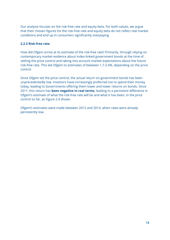Our analysis focuses on the risk-free rate and equity beta. For both values, we argue that their chosen figures for the risk-free rate and equity beta do not reflect real market conditions and end up in consumers significantly overpaying.

# **2.2.3 Risk-free rate**

How did Ofgem arrive at its estimate of the risk-free rate? Primarily, through relying on contemporary market evidence about index-linked government bonds at the time of setting the price control and taking into account market expectations about the future risk-free rate. This led Ofgem to estimates of between 1.7-2.0%, depending on the price control.

Since Ofgem set the price control, the actual return on government bonds has been unprecedentedly low. Investors have increasingly preferred not to spend their money today, leading to Governments offering them lower and lower returns on bonds. Since 2011, this return has **been negative in real terms**, leading to a persistent difference in Ofgem's estimate of what the risk-free rate will be and what it has been, in the price control so far, as Figure 2.4 shows.

Ofgem's estimates were made between 2012 and 2014, when rates were already persistently low.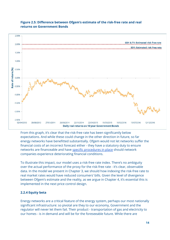

# **Figure 2.5: Difference between Ofgem's estimate of the risk-free rate and real returns on Government Bonds**

From this graph, it's clear that the risk-free rate has been significantly below expectations. And while these could change in the other direction in future, so far energy networks have benefitted substantially. Ofgem would not let networks suffer the financial costs of an incorrect forecast either - they have a statutory duty to ensure networks are financeable and have specific [procedures](https://www.ofgem.gov.uk/ofgem-publications/50666/guidance-doc-decision-doc-final.pdf) in place should network companies experience deteriorating financial conditions.

To illustrate this impact, our model uses a risk-free rate index. There's no ambiguity over the actual performance of the proxy for the risk-free rate - it's clear, observable data. In the model we present in Chapter 3, we should how indexing the risk-free rate to real market rates would have reduced consumers' bills. Given the level of divergence between Ofgem's estimate and the reality, as we argue in Chapter 4, it's essential this is implemented in the next price control design.

# **2.2.4 Equity beta**

Energy networks are a critical feature of the energy system, perhaps our most nationally significant infrastructure: so pivotal are they to our economy, Government and the regulator will never let them fail. Their product - transportation of gas and electricity to our homes - is in demand and will be for the foreseeable future. While there are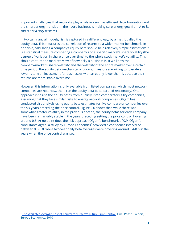important challenges that networks play a role in - such as efficient decarbonisation and the smart energy transition - their core business is making sure energy gets from A to B. *This is not a risky business.*

In typical financial models, risk is captured in a different way, by a metric called the equity beta. This measures the correlation of returns to a wider market benchmark. In principle, calculating a company's equity beta should be a relatively simple estimation: it is a statistical measure comparing a company's or a specific market's share volatility (the degree of variation in share price over time) to the whole stock market's volatility. This should capture the market's view of how risky a business is. If we know the company/market's share volatility and the volatility of the entire market over a certain time period, the equity beta mechanically follows. Investors are willing to tolerate a lower return on investment for businesses with an equity lower than 1, because their returns are more stable over time.

However, this information is only available from listed companies, which most network companies are not. How, then, can the equity beta be calculated reasonably? One approach is to use the equity betas from publicly listed comparator utility companies, assuming that they face similar risks to energy network companies. Ofgem has conducted this analysis using equity beta estimates for five comparator companies over the six years preceding the price control. Figure 2.6 shows that, while there was somewhat greater volatility in the previous decade, the equity betas for each company have been remarkably stable in the years preceding setting the price control, hovering around 0.5. At no point does the risk approach Ofgem's benchmark of 0.9. Ofgem's consultants agree: a study by Europe Economics<sup>8</sup> provided a confidence interval of between 0.5-0.8, while two-year daily beta averages were hovering around 0.4-0.6 in the years when the price control was set.

<sup>&</sup>lt;sup>8</sup> The [Weighted](https://www.ofgem.gov.uk/ofgem-publications/53852/europe-economics-final-report-011210.pdf) Average Cost of Capital for Ofgem's Future Price Control, Final Phase I Report, Europe Economics, 2010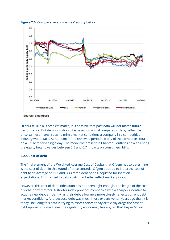

**Figure 2.6: Comparator companies' equity betas**

Source: Bloomberg

Of course, like all these estimates, it is possible that past data will not match future performance. But decisions should be based on actual comparator data, rather than uncertain estimates, so as to mimic market conditions a company in a competitive industry would face. At no point in the reviewed period did any of the companies touch on a 0.9 beta for a single day. The model we present in Chapter 3 outlines how adjusting the equity beta to values between 0.5 and 0.7 impacts on consumers' bills.

# **2.2.5 Cost of debt**

The final element of the Weighted Average Cost of Capital that Ofgem has to determine is the cost of debt. In this round of price controls, Ofgem decided to index the cost of debt to an average of AAA and BBB rated debt bonds, adjusted for inflation expectations. This has led to debt costs that better reflect market prices.

However, this cost of debt indexation has not been tight enough. The length of the cost of debt index matters. A shorter index provides companies with a sharper incentive to acquire new debt efficiently, as their debt allowance more closely reflects current debt market conditions. And because debt was much more expensive ten years ago than it is today, including this data in trying to assess prices today artificially drags the cost of debt upwards. Dieter Helm, the regulatory economist, has [argued](http://www.dieterhelm.co.uk/assets/secure/documents/Helm-CC-060509.pdf) that *'any index less*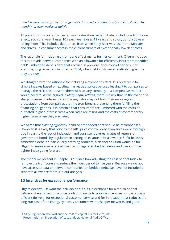*than five years will improve...arrangements. It could be an annual adjustment...it could be monthly, or even weekly or daily' . 9*

All price controls currently use ten year indexation, with ED1 also including a 'trombone effect', such that year 1 uses 10 years, year 2 uses 11 years and so on, up to a 20 year rolling index. This includes debt prices from when Tony Blair was last Prime Minister and drives up consumer costs in the current climate of exceptionally low debt costs.

The rationale for including a trombone effect merits further comment. Ofgem included this to provide network companies with an allowance for efficiently incurred 'embedded debt'. Embedded debt is debt that accrued in previous price control periods - for example, long term debt incurred in 2004, when debt costs were relatively higher than they are now.

We disagree with the rationale for including a trombone effect. It is preferable for simple indexes based on existing market debt prices be used leaving it to companies to manage the risks this presents them with, as any company in a competitive market would need to. As we argued in *Many happy returns*, there is a risk that, in the event of a sharp increase in interest rates, the regulator may not hold their nerve against protestations from companies that the trombone is preventing them fulfilling their financing obligations. It is possible that consumers are lumbered with the costs of outdated, higher interest rates when rates are falling and the costs of contemporary higher rates when they are rising.

We agree that existing *efficiently* incurred embedded debt should be recompensed. However, it is likely that prior to the RIIO price control, debt allowances were too high, due in part to the lack of indexation and consistent overestimates of returns on government bonds by regulators in setting an ex ante debt allowance<sup>10</sup>. If it believes embedded debt is a particularly pressing problem, a cleaner solution would be for Ofgem to make a separate allowance for legacy embedded debts and use a simple, tighter index going forward.

The model we present in Chapter 3 outlines how adjusting the cost of debt index to remove the trombone and reduce the index period to five years. Because we do not have access to data on network companies' embedded debt, we have not included a separate allowance for this in our analysis.

# **2.3 Incentives for exceptional performance**

Ofgem doesn't just want the delivery of outputs in exchange for a return on that delivery when it's setting a price control. It wants to provide incentives for particularly efficient delivery, for exceptional customer service and for innovation that reduces the long-run cost of the energy system. Consumers want cheaper networks and good

<sup>9</sup> Utility Regulation, the RAB and the cost of capital, Dieter Helm, 2009

<sup>&</sup>lt;sup>10</sup> [Presentation](http://barnendevents.com/wp-content/uploads/2015/11/Presentation-on-indexation-of-cost-of-debt-V3-04.05.2017-Martin-Malinowski.pdf) on indexation of cost of debt, National Audit Office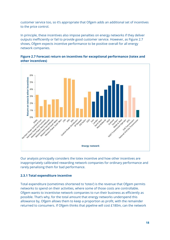customer service too, so it's appropriate that Ofgem adds an additional set of incentives to the price control.

In principle, these incentives also impose penalties on energy networks if they deliver outputs inefficiently or fail to provide good customer service. However, as Figure 2.7 shows, Ofgem expects incentive performance to be positive overall for all energy network companies.





Our analysis principally considers the totex incentive and how other incentives are inappropriately calibrated rewarding network companies for ordinary performance and rarely penalising them for bad performance.

# **2.3.1 Total expenditure incentive**

Total expenditure (sometimes shortened to 'totex') is the revenue that Ofgem permits networks to spend on their activities, where some of those costs are controllable. Ofgem wants to incentivise network companies to run their business as efficiently as possible. That's why, for the total amount that energy networks underspend this allowance by, Ofgem allows them to keep a proportion as profit, with the remainder returned to consumers. If Ofgem thinks that pipeline will cost £180m, can the network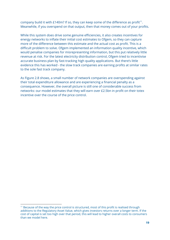company build it with  $E140m$ ? If so, they can keep some of the difference as profit<sup>11</sup>. Meanwhile, if you overspend on that output, then that money comes out of your profits.

While this system does drive some genuine efficiencies, it also creates incentives for energy networks to inflate their initial cost estimates to Ofgem, so they can capture more of the difference between this estimate and the actual cost as profit. This is a difficult problem to solve. Ofgem implemented an information quality incentive, which would penalise companies for misrepresenting information, but this put relatively little revenue at risk. For the latest electricity distribution control, Ofgem tried to incentivise accurate business plan by fast-tracking high quality applications. But there's little evidence this has worked - the slow track companies are earning profits at similar rates to the sole fast track company.

As Figure 2.8 shows, a small number of network companies are overspending against their total expenditure allowance and are experiencing a financial penalty as a consequence. However, the overall picture is still one of considerable success from networks: our model estimates that they will earn over £2.5bn in profit on their totex incentive over the course of the price control.

<sup>&</sup>lt;sup>11</sup> Because of the way the price control is structured, most of this profit is realised through additions to the Regulatory Asset Value, which gives investors returns over a longer term. If the cost of capital is set too high over that period, this will lead to higher overall costs to consumers than we model here.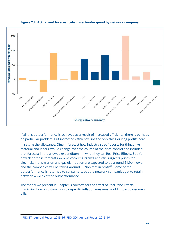

# **Figure 2.8: Actual and forecast totex over/underspend by network company**

If all this outperformance is achieved as a result of increased efficiency, there is perhaps no particular problem. But increased efficiency isn't the only thing driving profits here.

In setting the allowance, Ofgem forecast how industry-specific costs for things like material and labour would change over the course of the price control and included that forecast in the allowed expenditure — what they call Real Price Effects. But it's now clear those forecasts weren't correct: Ofgem's analysis suggests prices for electricity transmission and gas distribution are expected to be around £1.9bn lower and the companies will be taking around  $E0.9$ bn that in profit<sup>12</sup>. Some of the outperformance is returned to consumers, but the network companies get to retain between 45-70% of the outperformance.

The model we present in Chapter 3 corrects for the effect of Real Price Effects, mimicking how a custom industry-specific inflation measure would impact consumers' bills.

<sup>&</sup>lt;sup>12</sup>RIIO ET1 Annual Report [2015-16;](https://www.ofgem.gov.uk/system/files/docs/2017/02/riio-et1_annual_report_2015-16.pdf) RIIO GD1 Annual Report [2015-16.](https://www.ofgem.gov.uk/system/files/docs/2017/02/riio-gd1_annual_report_2015-16_0.pdf)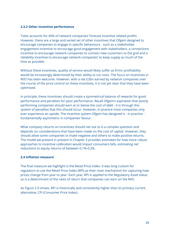# **2.3.2 Other incentive performance**

Totex accounts for 45% of network companies' forecast incentive related profits. However, there are a large and varied set of other incentives that Ofgem designed to encourage companies to engage in specific behaviours - such as a stakeholder engagement incentive to encourage good engagement with stakeholders, a connections incentive to encourage network companies to connect new customers to the grid and a reliability incentive to encourage network companies' to keep supply as much of the time as possible.

Without these incentives, quality of service would likely suffer as firms' profitability would be increasingly determined by their ability to cut costs. The focus on incentives in RIIO has been welcome. However, with a net £3bn earned by network companies over the course of the price control on these incentives, it is not yet clear that they have been optimised.

In principle, these incentives should create a symmetrical balance of rewards for good performance and penalties for poor performance. Recall Ofgem's aspiration that poorly performing companies should earn at or below the cost of debt - it is through this system of penalties that this should occur. However, in practice most companies only ever experience an upside. The incentive system Ofgem has designed is - in practice fundamentally asymmetric in companies' favour.

What company returns on incentives should net out to is a complex question and depends on considerations that have been made on the cost of capital. However, they should allow some companies to make negative and others to make positive returns. The model we present in present in Chapter 3 provides estimates for how more robust approaches to incentive calibration would impact consumers bills, estimating net reductions to equity returns of between 0.1%-0.2%.

# **2.4 Inflation measure**

The final measure we highlight is the Retail Price Index. It was long custom for regulators to use the Retail Price Index (RPI) as their main mechanism for capturing how prices change from year to year. Each year, RPI is applied to the Regulatory Asset Value, so is a determinant of the rates of return that companies can earn on the RAV.

As Figure 2.9 shows, RPI is historically and consistently higher than its primary current alternative, CPI (Consumer Price Index).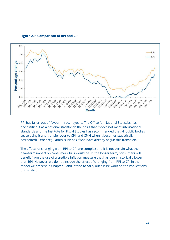**Figure 2.9: Comparison of RPI and CPI**



RPI has fallen out of favour in recent years. The Office for National Statistics has declassified it as a national statistic on the basis that it does not meet international standards and the Institute for Fiscal Studies has recommended that all public bodies cease using it and transfer over to CPI (and CPIH when it becomes statistically accredited). Other regulators, such as Ofwat, have already begun this transition.

The effects of changing from RPI to CPI are complex and it is not certain what the near-term impact on consumers' bills would be. In the longer term, consumers will benefit from the use of a credible inflation measure that has been historically lower than RPI. However, we do not include the effect of changing from RPI to CPI in the model we present in Chapter 3 and intend to carry out future work on the implications of this shift.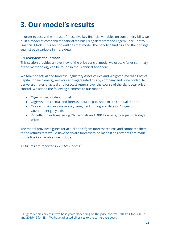# **3. Our model's results**

In order to assess the impact of these five key financial variables on consumers' bills, we built a model of companies' financial returns using data from the Ofgem Price Control Financial Model. This section outlines that model, the headline findings and the findings against each variable in more detail.

# **3.1 Overview of our model**

This section provides an overview of the price control model we used. A fuller summary of the methodology can be found in the Technical Appendix.

We took the actual and forecast Regulatory Asset Values and Weighted Average Cost of Capital for each energy network and aggregated this by company and price control to derive estimates of actual and forecast returns over the course of the eight-year price control. We added the following elements to our model:

- Ofgem's cost of debt model
- Ofgem's totex actual and forecast data as published in RIIO annual reports
- Our own risk-free rate model, using Bank of England data on 10-year Government gilt yields
- RPI inflation indexes, using ONS actuals and OBR forecasts, to adjust to today's prices

The model provides figures for actual and Ofgem forecast returns and compares them to the returns that would have been/are forecast to be made if adjustments are made to the five key variables we include.

All figures are reported in 2016/17 prices $^{13}$ .

<sup>&</sup>lt;sup>13</sup> Ofgem reports prices in two base years depending on the price control - 2013/14 for GD1/T1 and 2015/16 for ED1. We have adjusted all prices to the same base years.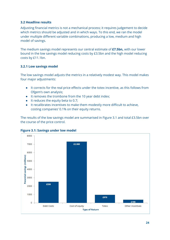# **3.2 Headline results**

Adjusting financial metrics is not a mechanical process; it requires judgement to decide which metrics should be adjusted and in which ways. To this end, we ran the model under multiple different variable combinations, producing a low, medium and high model of savings.

The medium savings model represents our central estimate of **£7.5bn,** with our lower bound in the low savings model reducing costs by £3.5bn and the high model reducing costs by £11.1bn.

# **3.2.1 Low savings model**

The low savings model adjusts the metrics in a relatively modest way. This model makes four major adjustments:

- It corrects for the real price effects under the totex incentive, as this follows from Ofgem's own analysis;
- It removes the trombone from the 10 year debt index;
- It reduces the equity beta to 0.7;
- It recalibrates incentives to make them modestly more difficult to achieve, costing companies' 0.1% on their equity returns.

The results of the low savings model are summarised in Figure 3.1 and total £3.5bn over the course of the price control.



# **Figure 3.1: Savings under low model**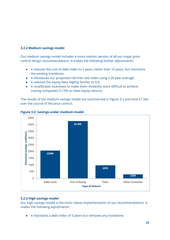# **3.2.2 Medium savings model**

Our medium savings model includes a more realistic version of all our major price control design recommendations. It makes the following further adjustments:

- It reduces the cost of debt index to 5 years rather than 10 years, but maintains the existing trombone;
- It introduces our proposed risk-free rate index using a 20 year average;
- It reduces the equity beta slightly further to 0.6;
- It recalibrates incentives to make them modestly more difficult to achieve, costing companies' 0.15% on their equity returns.

The results of the medium savings model are summarised in Figure 3.2 and total £7.5bn over the course of the price control.



**Figure 3.2: Savings under medium model**

# **3.2.3 High savings model**

Our high savings model is the most robust implementation of our recommendations. It makes the following adjustments:

● It maintains a debt index of 5 years but removes any trombone;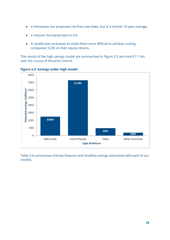- It introduces our proposed risk-free rate index, but at a shorter 10 year average;
- It reduces the equity beta to 0.5;
- It recalibrates incentives to make them more difficult to achieve, costing companies' 0.2% on their equity returns.

The results of the high savings model are summarised in Figure 3.3 and total £11.1bn over the course of the price control.



**Figure 3.3: Savings under high model**

Table 3.4 summarises the key features and headline savings associated with each of our models.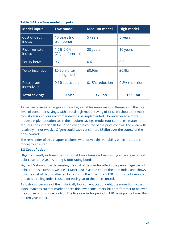# **Table 3.4 Headline model outputs**

| <b>Model input</b>              | <b>Low model</b>               | <b>Medium model</b> | <b>High model</b>  |
|---------------------------------|--------------------------------|---------------------|--------------------|
| Cost of debt<br>index:          | 10 years (no<br>trombone)      | 5 years             | 5 years            |
| <b>Risk free rate</b><br>index: | 1.7%-2.0%<br>(Ofgem forecast)  | 20 years            | 10 years           |
| Equity beta:                    | 0.7                            | 0.6                 | 0.5                |
| Totex incentive:                | £0.9bn (after<br>sharing mech) | £0.9bn              | £0.9 <sub>bn</sub> |
| Recalibrate<br>incentives:      | 0.1% reduction                 | 0.15% reduction     | 0.2% reduction     |
| <b>Total savings:</b>           | £3.5bn                         | £7.5bn              | £11.1bn            |

As we can observe, changes in these key variables make major differences in the total level of consumer savings, with a total high model saving of £11.1bn should the most robust version of our recommendations be implemented. However, even a more modest implementation, as in the medium savings model (our central estimate), reduces consumers' bills by £7.5bn over the course of the price control. And even with relatively minor tweaks, Ofgem could save consumers £3.5bn over the course of the price control.

The remainder of this chapter explores what drives this variability when inputs are modestly adjusted.

# **3.3 Cost of debt**

Ofgem currently indexes the cost of debt on a ten-year basis, using an average of real debt costs of 10 year A rating & BBB rating bonds.

Figure 3.5 shows how decreasing the cost of debt index affects the percentage cost of debt. For this example, we use 31 March 2016 as the end of the debt index and shows how the cost of debt is affected by reducing the index from 120 months to 12 month. In practice, a rolling index is used for each year of the price control.

As it shows, because of the historically low current cost of debt, the more tightly the index matches current market prices the lower consumers' bills are forecast to be over the course of this price control. The five year index period is 120 basis points lower than the ten year index.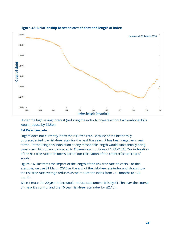

# **Figure 3.5: Relationship between cost of debt and length of index**

Under the high saving forecast (reducing the index to 5 years without a trombone) bills would reduce by £2.5bn.

# **3.4 Risk-free rate**

Ofgem does not currently index the risk-free rate. Because of the historically unprecedented low risk-free rate - for the past five years, it has been negative in real terms - introducing this indexation at any reasonable length would substantially bring consumers' bills down, compared to Ofgem's assumptions of 1.7%-2.0%. Our indexation of the risk-free rate then forms part of our calculation of the counterfactual cost of equity.

Figure 3.6 illustrates the impact of the length of the risk-free rate on costs. For this example, we use 31 March 2016 as the end of the risk-free rate index and shows how the risk free rate average reduces as we reduce the index from 240 months to 120 month.

We estimate the 20 year index would reduce consumers' bills by £1.1bn over the course of the price control and the 10 year risk-free rate index by £2.1bn.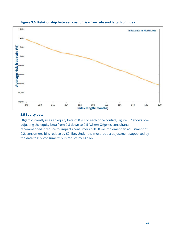

# **Figure 3.6: Relationship between cost of risk-free rate and length of index**

# **3.5 Equity beta**

Ofgem currently uses an equity beta of 0.9. For each price control, Figure 3.7 shows how adjusting the equity beta from 0.8 down to 0.5 (where Ofgem's consultants recommended it reduce to) impacts consumers bills. If we implement an adjustment of 0.2, consumers' bills reduce by £2.1bn. Under the most robust adjustment supported by the data to 0.5, consumers' bills reduce by £4.1bn.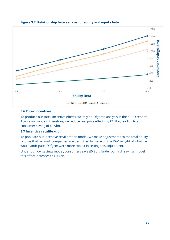

# **Figure 3.7: Relationship between cost of equity and equity beta**

#### **3.6 Totex incentives**

To produce our totex incentive effects, we rely on Ofgem's analysis in their RIIO reports. Across our models, therefore, we reduce real price effects by £1.9bn, leading to a consumer saving of £0.9bn.

# **3.7 Incentive recalibration**

To populate our incentive recalibration model, we make adjustments to the total equity returns that network companies' are permitted to make on the RAV, in light of what we would anticipate if Ofgem were more robust in setting this adjustment.

Under our low savings model, consumers save £0.2bn. Under our high savings model this effect increases to £0.4bn.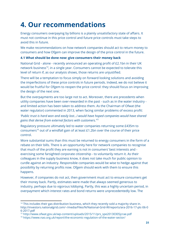# **4. Our recommendations**

Energy consumers overpaying by billions is a plainly unsatisfactory state of affairs. It must not continue in this price control and future price controls must take steps to avoid this in future.

We make recommendations on how network companies should act to return money to consumers and how Ofgem can improve the design of the price control in the future.

# **4.1 What should be done now: give consumers their money back**

National Grid - alone - recently announced an operating profit of £2.1bn in their UK network business<sup>14</sup>, in a single year. Consumers cannot be expected to tolerate this level of return if, as our analysis shows, those returns are unjustified.

There will be a temptation to focus simply on forward looking solutions and avoiding the imperfections of these price controls in future periods. Indeed, we do not believe it would be fruitful for Ofgem to reopen the price control: they should focus on improving the design of the next one.

But the overpayments are too large not to act. Moreover, there are precedents when utility companies have been over-rewarded in the past - such as in the water industry and limited action has been taken to address them. As the Chairman of Ofwat (the water regulator) commented in 2013, when facing similar problems of excess profit:

*'Public trust is hard won and easily lost...I would have hoped companies would have shared gains that derive from external factors with customers.' 15*

Regulatory pressure ultimately led to water companies returning some £435m to consumers<sup>16</sup> out of a windfall gain of at least £1.2bn over the course of their price control.

More substantial sums than this must be returned to energy consumers in the form of a rebate on their bills. There is an opportunity here for network companies to recognise that much of the profit they are earning is not in consumers' best interests and exercising some farsighted corporate citizenship - to voluntarily return it. As their colleagues in the supply business know, it does not take much for public opinion to curdle against an industry. Responsible companies would be wise to hedge against that possibility by returning profits now. Ofgem should work with them to ensure this happens.

However, if companies do not act, then government must act to ensure consumers get their money back. Partly, estimates were made that always seemed generous to industry, perhaps due to vigorous lobbying. Partly, this was a highly uncertain period, in overpayment which interest rates and bond returns were unprecedentedly low. The

<sup>&</sup>lt;sup>14</sup> This includes their gas distribution business, which they recently sold a majority share in. http://investors.nationalgrid.com/~/media/Files/N/National-Grid-IR/reports/ara-2016-17-plc-06-0 6-2017.pdf

<sup>15</sup> http://www.ofwat.gov.uk/wp-content/uploads/2015/11/prs\_spe20130305jcrae.pdf

<sup>16</sup> https://www.nao.org.uk/report/the-economic-regulation-of-the-water-sector/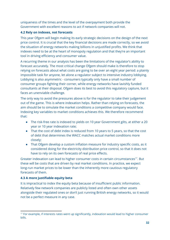uniqueness of the times and the level of the overpayment both provide the Government with excellent reasons to act if network companies will not.

# **4.2 Rely on indexes, not forecasts**

This year Ofgem will begin making its early strategic decisions on the design of the next price control. It is crucial that the key financial decisions are made correctly, so we avoid the situation of energy networks making billions in unjustified profits. We think that indexes need to be at the heart of monopoly regulation and that they're an important tool in driving efficiency and consumer value.

A recurring theme in our analysis has been the limitations of the regulator's ability to forecast accurately. The most critical change Ofgem should make is therefore to stop relying on forecasts about what costs are going to be over an eight year period: a plainly impossible task for anyone, let alone a regulator subject to intensive industry lobbying. Lobbying is also asymmetric - consumers typically only have a small number of consumer groups fighting their corner, while energy networks have lavishly funded consultants at their disposal. Ofgem does its best to avoid this regulatory capture, but it faces an unenviable challenge.

The only way to avoid the pressures above is for the regulator to take their judgement out of the game. This is where indexation helps. Rather than relying on forecasts, the aim should be to simulate the market conditions a competitive company would face. Indexing key variables to market conditions achieves this. We therefore recommend that:

- The risk-free rate is indexed to yields on 10 year Government gilts, at either a 20 year or 10 year indexation rate;
- That the cost of debt index is reduced from 10 years to 5 years, so that the cost of debt that determines the WACC matches actual market conditions more closely;
- That Ofgem develop a custom inflation measure for industry specific costs, as it considered doing for the electricity distribution price control, so that it does not have to rely on its own forecasts of real price effects.

Greater indexation can lead to higher consumer costs in certain circumstances<sup>17</sup>. But these will be costs that are driven by real market conditions. In practice, we expect long-run market prices to be lower than the inherently more cautious regulatory forecasts of them.

# **4.3 A more justifiable equity beta**

It is impractical to index the equity beta because of insufficient public information. Relatively few network companies are publicly listed and often own other assets alongside their regulated ones or don't just running British energy networks, so it would not be a perfect measure in any case.

<sup>&</sup>lt;sup>17</sup> For example, if interests rates went up significantly, indexation would lead to higher consumer bills.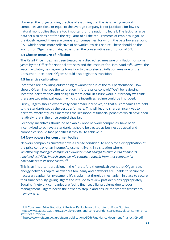However, the long-standing practice of assuming that the risks facing network companies are close or equal to the average company is not justifiable for low-risk natural monopolies that are too important for the nation to let fail. The lack of a large data set also does not free the regulator of all the requirements of empirical rigor. As previously argued, there are comparator companies, for whom the beta hovers around 0.5 - which seems more reflective of networks' low-risk nature. These should be the anchor for Ofgem's estimate, rather than the conservative assumption of 0.9.

# **4.4 Chosen measure of inflation**

The Retail Price Index has been treated as a discredited measure of inflation for some years by the Office for National Statistics and the Institute for Fiscal Studies<sup>18</sup>. Ofwat, the water regulator, has begun its transition to the preferred inflation measure of the Consumer Price Index. Ofgem should also begin this transition.

# **4.5 Incentive calibration**

Incentives are providing outstanding rewards for run of the mill performance. How should Ofgem improve the calibration in future price controls? We'll be reviewing incentive performance and design in more detail in future work, but broadly we think there are two principal ways in which the incentives regime could be improved.

Firstly, Ofgem should dynamically benchmark incentives, so that all companies are held to the standards set by the best performers. This will lead to sharper incentives to perform excellently, as it increases the likelihood of financial penalties which have been relatively rare in the price control thus far.

Secondly, incentives should be bankable - once network companies' have been incentivised to achieve a standard, it should be treated as business as usual and companies should face penalties if they fail to achieve it.

# **4.6 New powers for consumer bodies**

Network companies currently have a license condition to apply for a disapplication of the price control or an Income Adjustment Event, in a situation where: *'an efficiently managed company's allowance is not enough to enable it to finance its regulated activities. In such cases we will consider requests from that company for amendments to its price control.' 19*

This is an important provision: in the (heretofore theoretical) event that Ofgem sets energy networks capital allowances too leanly and networks are unable to secure the necessary capital for investment, it's crucial that there's a mechanism in place to secure their financeability, giving Ofgem the latitude to review past decisions appropriately. Equally, if network companies are facing financeability problems due to poor management, Ofgem needs the power to step in and ensure the smooth transfer to new owners.

<sup>&</sup>lt;sup>18</sup> UK Consumer Price Statistics: A Review, Paul Johnson, Institute for Fiscal Studies: https://www.statisticsauthority.gov.uk/reports-and-correspondence/reviews/uk-consumer-pricestatistics-a-review/

<sup>19</sup> https://www.ofgem.gov.uk/ofgem-publications/50667/guidance-document-final-oct-09.pdf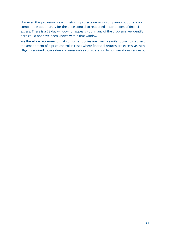However, this provision is asymmetric. It protects network companies but offers no comparable opportunity for the price control to reopened in conditions of financial excess. There is a 28 day window for appeals - but many of the problems we identify here could not have been known within that window.

We therefore recommend that consumer bodies are given a similar power to request the amendment of a price control in cases where financial returns are excessive, with Ofgem required to give due and reasonable consideration to non-vexatious requests.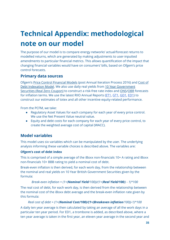# **Technical Appendix: methodological note on our model**

The purpose of our model is to compare energy networks' actual/forecast returns to modelled returns, which are generated by making adjustments to user-inputted amendments to particular financial metrics. This allows quantification of the impact that changing financial variables would have on consumers' bills, based on Ofgem's price control forecasts.

# **Primary data sources**

Ofgem's Price Control [Financial](https://www.ofgem.gov.uk/network-regulation-riio-model/price-controls-financial-model-pcfm) Models (post Annual Iteration Process 2016) and [Cost](https://www.ofgem.gov.uk/publications-and-updates/cost-debt-indexation-model-31-october-2016) of Debt [Indexation](https://www.ofgem.gov.uk/publications-and-updates/cost-debt-indexation-model-31-october-2016) Model. We also use daily real yields from 10 Year [Government](https://www.quandl.com/data/BOE/IUDMRZC-Yield-from-British-Government-Securities-10-year-Real-Zero-Coupon) [Securities](https://www.quandl.com/data/BOE/IUDMRZC-Yield-from-British-Government-Securities-10-year-Real-Zero-Coupon) (Real Zero Coupon) to construct a risk-free rate index and [ONS](https://www.ons.gov.uk/economy/inflationandpriceindices)[/OBR](http://budgetresponsibility.org.uk/publications/) forecasts for inflation terms. We use the latest RIIO Annual Reports ([ET1,](https://www.google.co.uk/url?sa=t&rct=j&q=&esrc=s&source=web&cd=1&cad=rja&uact=8&ved=0ahUKEwi0lb6q19PUAhVkJMAKHdo1A7gQFggmMAA&url=https%3A%2F%2Fwww.ofgem.gov.uk%2Fpublications-and-updates%2Friio-electricity-transmission-annual-report-2015-16&usg=AFQjCNFqWi0o1_jMaXHxmuEGre4A46C0QA) [GT1,](https://www.ofgem.gov.uk/publications-and-updates/riio-gas-transmission-annual-report-2015-16) [GD1,](https://www.google.co.uk/url?sa=t&rct=j&q=&esrc=s&source=web&cd=1&cad=rja&uact=8&ved=0ahUKEwjTj9u519PUAhXJJsAKHUWQA6kQFggiMAA&url=https%3A%2F%2Fwww.ofgem.gov.uk%2Fsystem%2Ffiles%2Fdocs%2F2017%2F02%2Friio-gd1_annual_report_2015-16_0.pdf&usg=AFQjCNEiIupH-WBy6W-vq_HVlpP1taUsyg) [ED1\)](https://www.ofgem.gov.uk/publications-and-updates/riio-electricity-distribution-annual-report-2015-16) to construct our estimates of totex and all other incentive equity-related performance.

From the PCFM, we take:

- Regulatory Asset Values for each company for each year of every price control. We use the Net Present Value neutral value.
- Equity and debt costs for each company for each year of every price control, to create the weighted average cost of capital (WACC).

# **Model variables**

This model uses six variables which can be manipulated by the user. The underlying analysis informing these variable choices is described above. The variables are:

# **Ofgem's cost of debt index**

This is comprised of a simple average of the iBoxx non-financials 10+ A rating and iBoxx non-financials 10+ BBB rating to yield a nominal cost of debt.

Break-even inflation is then derived, for each work day, from the relationship between the nominal and real yields on 10 Year British Government Securities given by the formula:

# *Break-even inflation = (1+(Nominal Yield/100))/(1+(Real Yield/100)) - 1)\*100* The real cost of debt, for each work day, is then derived from the relationship between the nominal cost of the iBoxx debt average and the break-even inflation rate given by this formula:

# *Real cost of debt = (1+(Nominal Cost/100)/(1+(Breakeven inflation/100))-1)\*100*

A daily ten year average is then calculated by taking an average of all the work days in a particular ten year period. For ED1, a trombone is added, as described above, where a ten year average is taken in the first year, an eleven year average in the second year and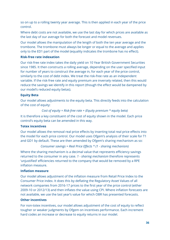so on up to a rolling twenty year average. This is then applied in each year of the price control.

Where debt costs are not available, we use the last day for which prices are available as the last day of our average for both the forecast and model revenues.

Our model allows the manipulation of the length of both the ten year average and the trombone. The trombone must always be longer or equal to the average and applies only to the ED1 part of the model (equality indicates the trombone has no effect).

# **Risk-free rate indexation**

Our risk-free rate index takes the daily yield on 10 Year British Government Securities since 1985. It then constructs a rolling average, depending on the user specified input for number of years to construct the average in, for each year of the price control, similarly to the cost of debt index. We treat the risk-free rate as an independent variable. If the risk-free rate and equity premium are inversely related, then this would reduce the savings we identify in this report (though the effect would be dampened by our model's reduced equity betas).

# **Equity Beta**

Our model allows adjustments to the equity beta. This directly feeds into the calculation of the cost of equity:

*Cost of equity = Risk-free rate + (Equity premium \* equity beta)*

It is therefore a key constituent of the cost of equity shown in the model. Each price control's equity beta can be amended in this way.

# **Totex incentives**

Our model allows the removal real price effects by inserting total real price effects into the model for each price control. Our model uses Ofgem's analysis of their scale for T1 and GD1 by default. These are then amended by Ofgem's sharing mechanism as so:

# *Consumer savings = Real Price Effects \* (1 - sharing mechanism)*

Where the sharing mechanism is a decimal value that represents efficiency savings returned to the consumer in any case. *1 - sharing mechanism* therefore represents 'unjustified' efficiencies returned to the company that would be removed by a RPE inflation measure.

# **Inflation measure**

Our model allows adjustment of the inflation measure from Retail Price Index to the Consumer Price index. It does this by deflating the Regulatory Asset Values of all network companies from 2016-17 prices to the first year of the price control (either 2009-10 or 2012/13) and then inflates the value using CPI. Where inflation forecasts are not available, we use the last year's value for which OBR has presented forecasts.

# **Other incentives**

For non-totex incentives, our model allows adjustment of the cost of equity to reflect tougher or weaker judgments by Ofgem on incentives performance. Each increment hard codes an increase or decrease to equity returns in our model.